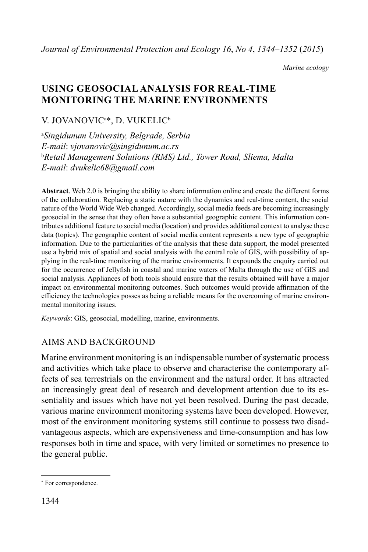*Marine ecology*

# **USING GEOSOCIAL ANALYSIS FOR REAL-TIME MONITORING THE MARINE ENVIRONMENTS**

## V. JOVANOVICa \*, D. VUKELIC<sup>b</sup>

a *Singidunum University, Belgrade, Serbia E-mail*: *vjovanovic@singidunum.ac.rs* b *Retail Management Solutions (RMS) Ltd., Tower Road, Sliema, Malta E-mail*: *dvukelic68@gmail.com*

**Abstract**. Web 2.0 is bringing the ability to share information online and create the different forms of the collaboration. Replacing a static nature with the dynamics and real-time content, the social nature of the World Wide Web changed. Accordingly, social media feeds are becoming increasingly geosocial in the sense that they often have a substantial geographic content. This information contributes additional feature to social media (location) and provides additional context to analyse these data (topics). The geographic content of social media content represents a new type of geographic information. Due to the particularities of the analysis that these data support, the model presented use a hybrid mix of spatial and social analysis with the central role of GIS, with possibility of applying in the real-time monitoring of the marine environments. It expounds the enquiry carried out for the occurrence of Jellyfish in coastal and marine waters of Malta through the use of GIS and social analysis. Appliances of both tools should ensure that the results obtained will have a major impact on environmental monitoring outcomes. Such outcomes would provide affirmation of the efficiency the technologies posses as being a reliable means for the overcoming of marine environmental monitoring issues.

*Keywords*: GIS, geosocial, modelling, marine, environments.

### AIMS AND BACKGROUND

Marine environment monitoring is an indispensable number of systematic process and activities which take place to observe and characterise the contemporary affects of sea terrestrials on the environment and the natural order. It has attracted an increasingly great deal of research and development attention due to its essentiality and issues which have not yet been resolved. During the past decade, various marine environment monitoring systems have been developed. However, most of the environment monitoring systems still continue to possess two disadvantageous aspects, which are expensiveness and time-consumption and has low responses both in time and space, with very limited or sometimes no presence to the general public.

<sup>\*</sup> For correspondence.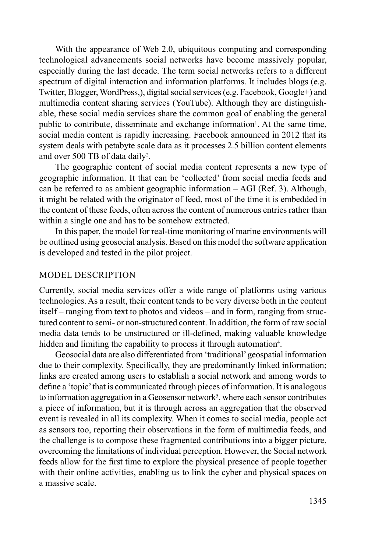With the appearance of Web 2.0, ubiquitous computing and corresponding technological advancements social networks have become massively popular, especially during the last decade. The term social networks refers to a different spectrum of digital interaction and information platforms. It includes blogs (e.g. Twitter, Blogger, WordPress,), digital social services (e.g. Facebook, Google+) and multimedia content sharing services (YouTube). Although they are distinguishable, these social media services share the common goal of enabling the general public to contribute, disseminate and exchange information<sup>1</sup>. At the same time, social media content is rapidly increasing. Facebook announced in 2012 that its system deals with petabyte scale data as it processes 2.5 billion content elements and over 500 TB of data daily<sup>2</sup>.

The geographic content of social media content represents a new type of geographic information. It that can be 'collected' from social media feeds and can be referred to as ambient geographic information – AGI (Ref. 3). Although, it might be related with the originator of feed, most of the time it is embedded in the content of these feeds, often across the content of numerous entries rather than within a single one and has to be somehow extracted.

In this paper, the model for real-time monitoring of marine environments will be outlined using geosocial analysis. Based on this model the software application is developed and tested in the pilot project.

#### MODEL DESCRIPTION

Currently, social media services offer a wide range of platforms using various technologies. As a result, their content tends to be very diverse both in the content itself – ranging from text to photos and videos – and in form, ranging from structured content to semi- or non-structured content. In addition, the form of raw social media data tends to be unstructured or ill-defined, making valuable knowledge hidden and limiting the capability to process it through automation<sup>4</sup>.

Geosocial data are also differentiated from 'traditional' geospatial information due to their complexity. Specifically, they are predominantly linked information; links are created among users to establish a social network and among words to define a 'topic' that is communicated through pieces of information. It is analogous to information aggregation in a Geosensor network<sup>5</sup>, where each sensor contributes a piece of information, but it is through across an aggregation that the observed event is revealed in all its complexity. When it comes to social media, people act as sensors too, reporting their observations in the form of multimedia feeds, and the challenge is to compose these fragmented contributions into a bigger picture, overcoming the limitations of individual perception. However, the Social network feeds allow for the first time to explore the physical presence of people together with their online activities, enabling us to link the cyber and physical spaces on a massive scale.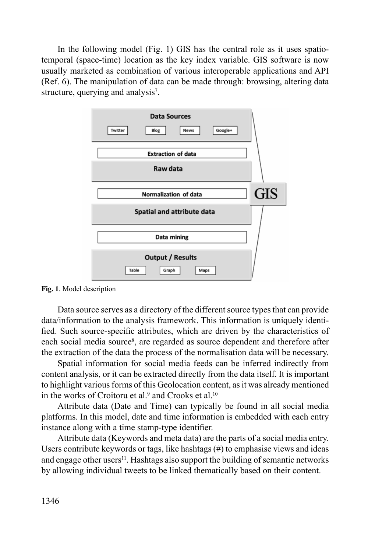In the following model (Fig. 1) GIS has the central role as it uses spatiotemporal (space-time) location as the key index variable. GIS software is now usually marketed as combination of various interoperable applications and API (Ref. 6). The manipulation of data can be made through: browsing, altering data structure, querying and analysis<sup>7</sup>.



**Fig. 1**. Model description

Data source serves as a directory of the different source types that can provide data/information to the analysis framework. This information is uniquely identified. Such source-specific attributes, which are driven by the characteristics of each social media source<sup>8</sup>, are regarded as source dependent and therefore after the extraction of the data the process of the normalisation data will be necessary.

Spatial information for social media feeds can be inferred indirectly from content analysis, or it can be extracted directly from the data itself. It is important to highlight various forms of this Geolocation content, as it was already mentioned in the works of Croitoru et al.<sup>9</sup> and Crooks et al.<sup>10</sup>

Attribute data (Date and Time) can typically be found in all social media platforms. In this model, date and time information is embedded with each entry instance along with a time stamp-type identifier.

Attribute data (Keywords and meta data) are the parts of a social media entry. Users contribute keywords or tags, like hashtags  $(\#)$  to emphasise views and ideas and engage other users<sup>11</sup>. Hashtags also support the building of semantic networks by allowing individual tweets to be linked thematically based on their content.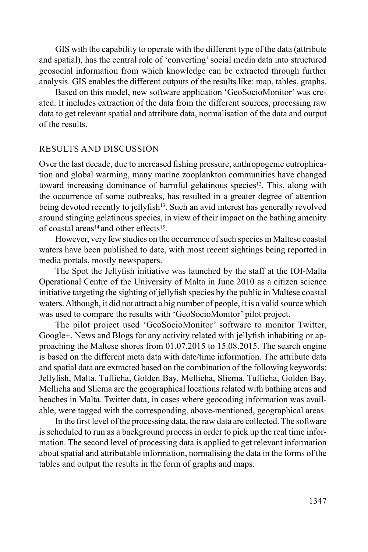GIS with the capability to operate with the different type of the data (attribute and spatial), has the central role of 'converting' social media data into structured geosocial information from which knowledge can be extracted through further analysis. GIS enables the different outputs of the results like: map, tables, graphs.

Based on this model, new software application 'GeoSocioMonitor' was created. It includes extraction of the data from the different sources, processing raw data to get relevant spatial and attribute data, normalisation of the data and output of the results.

#### RESULTS AND DISCUSSION

Over the last decade, due to increased fishing pressure, anthropogenic eutrophication and global warming, many marine zooplankton communities have changed toward increasing dominance of harmful gelatinous species<sup>12</sup>. This, along with the occurrence of some outbreaks, has resulted in a greater degree of attention being devoted recently to jellyfish<sup>13</sup>. Such an avid interest has generally revolved around stinging gelatinous species, in view of their impact on the bathing amenity of coastal areas<sup>14</sup> and other effects<sup>15</sup>.

However, very few studies on the occurrence of such species in Maltese coastal waters have been published to date, with most recent sightings being reported in media portals, mostly newspapers.

The Spot the Jellyfish initiative was launched by the staff at the IOI-Malta Operational Centre of the University of Malta in June 2010 as a citizen science initiative targeting the sighting of jellyfish species by the public in Maltese coastal waters. Although, it did not attract a big number of people, it is a valid source which was used to compare the results with 'GeoSocioMonitor' pilot project.

The pilot project used 'GeoSocioMonitor' software to monitor Twitter, Google+, News and Blogs for any activity related with jellyfish inhabiting or approaching the Maltese shores from 01.07.2015 to 15.08.2015. The search engine is based on the different meta data with date/time information. The attribute data and spatial data are extracted based on the combination of the following keywords: Jellyfish, Malta, Tuffieha, Golden Bay, Mellieha, Sliema. Tuffieha, Golden Bay, Mellieha and Sliema are the geographical locations related with bathing areas and beaches in Malta. Twitter data, in cases where geocoding information was available, were tagged with the corresponding, above-mentioned, geographical areas.

In the first level of the processing data, the raw data are collected. The software is scheduled to run as a background process in order to pick up the real time information. The second level of processing data is applied to get relevant information about spatial and attributable information, normalising the data in the forms of the tables and output the results in the form of graphs and maps.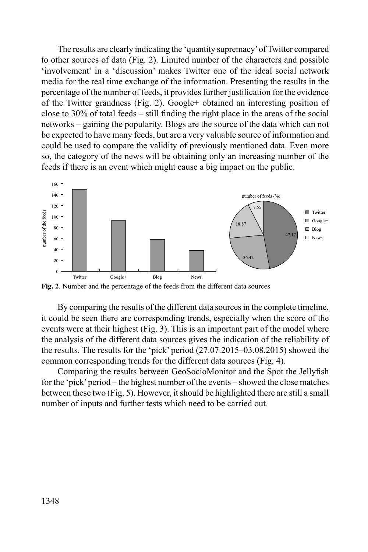The results are clearly indicating the 'quantity supremacy' of Twitter compared to other sources of data (Fig. 2). Limited number of the characters and possible 'involvement' in a 'discussion' makes Twitter one of the ideal social network media for the real time exchange of the information. Presenting the results in the percentage of the number of feeds, it provides further justification for the evidence of the Twitter grandness (Fig. 2). Google+ obtained an interesting position of close to 30% of total feeds – still finding the right place in the areas of the social networks – gaining the popularity. Blogs are the source of the data which can not be expected to have many feeds, but are a very valuable source of information and could be used to compare the validity of previously mentioned data. Even more so, the category of the news will be obtaining only an increasing number of the feeds if there is an event which might cause a big impact on the public.



**Fig. 2**. Number and the percentage of the feeds from the different data sources

By comparing the results of the different data sources in the complete timeline, it could be seen there are corresponding trends, especially when the score of the events were at their highest (Fig. 3). This is an important part of the model where the analysis of the different data sources gives the indication of the reliability of the results. The results for the 'pick' period (27.07.2015–03.08.2015) showed the common corresponding trends for the different data sources (Fig. 4).

Comparing the results between GeoSocioMonitor and the Spot the Jellyfish for the 'pick' period – the highest number of the events – showed the close matches between these two (Fig. 5). However, it should be highlighted there are still a small number of inputs and further tests which need to be carried out.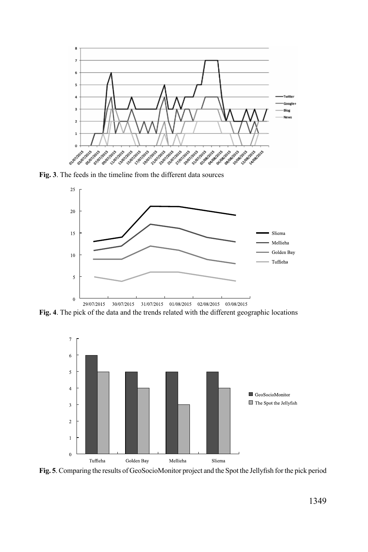

**Fig. 3**. The feeds in the timeline from the different data sources



**Fig. 4**. The pick of the data and the trends related with the different geographic locations



**Fig. 5**. Comparing the results of GeoSocioMonitor project and the Spot the Jellyfish for the pick period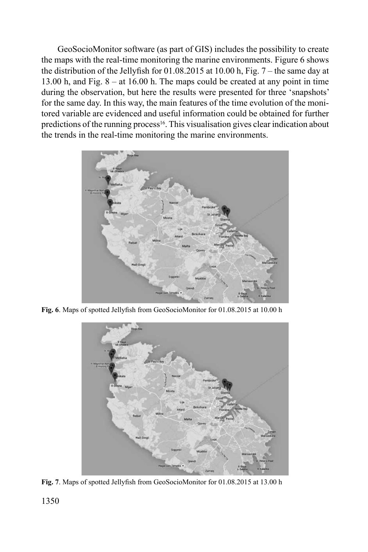GeoSocioMonitor software (as part of GIS) includes the possibility to create the maps with the real-time monitoring the marine environments. Figure 6 shows the distribution of the Jellyfish for 01.08.2015 at 10.00 h, Fig. 7 – the same day at 13.00 h, and Fig. 8 – at 16.00 h. The maps could be created at any point in time during the observation, but here the results were presented for three 'snapshots' for the same day. In this way, the main features of the time evolution of the monitored variable are evidenced and useful information could be obtained for further predictions of the running process<sup>16</sup>. This visualisation gives clear indication about the trends in the real-time monitoring the marine environments.



**Fig. 6**. Maps of spotted Jellyfish from GeoSocioMonitor for 01.08.2015 at 10.00 h



**Fig. 7**. Maps of spotted Jellyfish from GeoSocioMonitor for 01.08.2015 at 13.00 h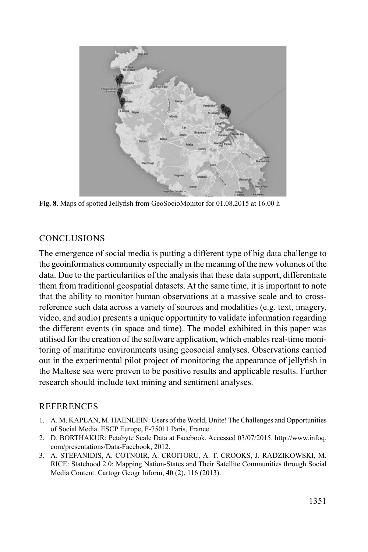

**Fig. 8**. Maps of spotted Jellyfish from GeoSocioMonitor for 01.08.2015 at 16.00 h

## **CONCLUSIONS**

The emergence of social media is putting a different type of big data challenge to the geoinformatics community especially in the meaning of the new volumes of the data. Due to the particularities of the analysis that these data support, differentiate them from traditional geospatial datasets. At the same time, it is important to note that the ability to monitor human observations at a massive scale and to crossreference such data across a variety of sources and modalities (e.g. text, imagery, video, and audio) presents a unique opportunity to validate information regarding the different events (in space and time). The model exhibited in this paper was utilised for the creation of the software application, which enables real-time monitoring of maritime environments using geosocial analyses. Observations carried out in the experimental pilot project of monitoring the appearance of jellyfish in the Maltese sea were proven to be positive results and applicable results. Further research should include text mining and sentiment analyses.

### REFERENCES

- 1. A. M. KAPLAN, M. HAENLEIN: Users of the World, Unite! The Challenges and Opportunities of Social Media. ESCP Europe, F-75011 Paris, France.
- 2. D. BORTHAKUR: Petabyte Scale Data at Facebook. Accessed 03/07/2015. http://www.infoq. com/presentations/Data-Facebook, 2012.
- 3. A. STEFANIDIS, A. COTNOIR, A. CROITORU, A. T. CROOKS, J. RADZIKOWSKI, M. RICE: Statehood 2.0: Mapping Nation-States and Their Satellite Communities through Social Media Content. Cartogr Geogr Inform, **40** (2), 116 (2013).